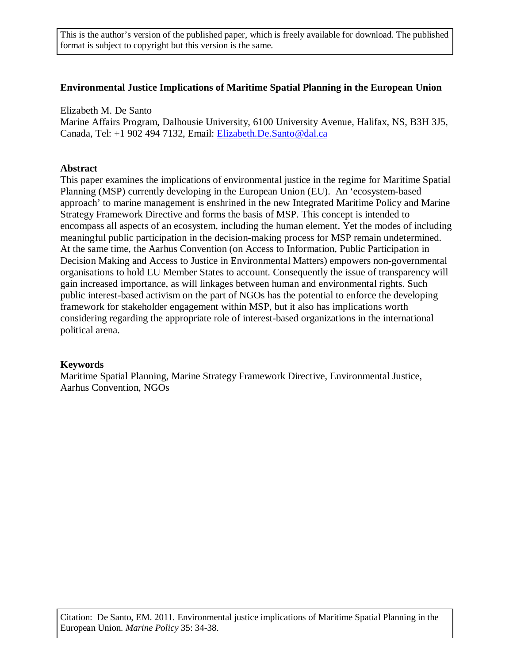#### **Environmental Justice Implications of Maritime Spatial Planning in the European Union**

#### Elizabeth M. De Santo

Marine Affairs Program, Dalhousie University, 6100 University Avenue, Halifax, NS, B3H 3J5, Canada, Tel: +1 902 494 7132, Email: [Elizabeth.De.Santo@dal.ca](mailto:Elizabeth.De.Santo@dal.ca)

#### **Abstract**

This paper examines the implications of environmental justice in the regime for Maritime Spatial Planning (MSP) currently developing in the European Union (EU). An 'ecosystem-based approach' to marine management is enshrined in the new Integrated Maritime Policy and Marine Strategy Framework Directive and forms the basis of MSP. This concept is intended to encompass all aspects of an ecosystem, including the human element. Yet the modes of including meaningful public participation in the decision-making process for MSP remain undetermined. At the same time, the Aarhus Convention (on Access to Information, Public Participation in Decision Making and Access to Justice in Environmental Matters) empowers non-governmental organisations to hold EU Member States to account. Consequently the issue of transparency will gain increased importance, as will linkages between human and environmental rights. Such public interest-based activism on the part of NGOs has the potential to enforce the developing framework for stakeholder engagement within MSP, but it also has implications worth considering regarding the appropriate role of interest-based organizations in the international political arena.

#### **Keywords**

Maritime Spatial Planning, Marine Strategy Framework Directive, Environmental Justice, Aarhus Convention, NGOs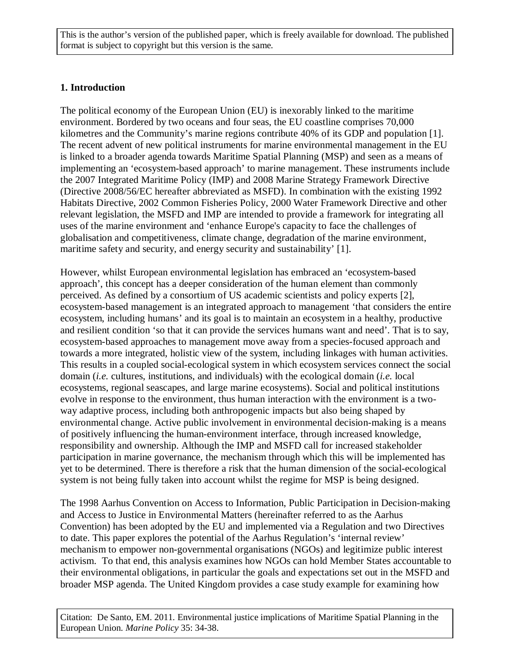#### **1. Introduction**

The political economy of the European Union (EU) is inexorably linked to the maritime environment. Bordered by two oceans and four seas, the EU coastline comprises 70,000 kilometres and the Community's marine regions contribute 40% of its GDP and population [1]. The recent advent of new political instruments for marine environmental management in the EU is linked to a broader agenda towards Maritime Spatial Planning (MSP) and seen as a means of implementing an 'ecosystem-based approach' to marine management. These instruments include the 2007 Integrated Maritime Policy (IMP) and 2008 Marine Strategy Framework Directive (Directive 2008/56/EC hereafter abbreviated as MSFD). In combination with the existing 1992 Habitats Directive, 2002 Common Fisheries Policy, 2000 Water Framework Directive and other relevant legislation, the MSFD and IMP are intended to provide a framework for integrating all uses of the marine environment and 'enhance Europe's capacity to face the challenges of globalisation and competitiveness, climate change, degradation of the marine environment, maritime safety and security, and energy security and sustainability' [1].

However, whilst European environmental legislation has embraced an 'ecosystem-based approach', this concept has a deeper consideration of the human element than commonly perceived. As defined by a consortium of US academic scientists and policy experts [2], ecosystem-based management is an integrated approach to management 'that considers the entire ecosystem, including humans' and its goal is to maintain an ecosystem in a healthy, productive and resilient condition 'so that it can provide the services humans want and need'. That is to say, ecosystem-based approaches to management move away from a species-focused approach and towards a more integrated, holistic view of the system, including linkages with human activities. This results in a coupled social-ecological system in which ecosystem services connect the social domain (*i.e.* cultures, institutions, and individuals) with the ecological domain (*i.e.* local ecosystems, regional seascapes, and large marine ecosystems). Social and political institutions evolve in response to the environment, thus human interaction with the environment is a twoway adaptive process, including both anthropogenic impacts but also being shaped by environmental change. Active public involvement in environmental decision-making is a means of positively influencing the human-environment interface, through increased knowledge, responsibility and ownership. Although the IMP and MSFD call for increased stakeholder participation in marine governance, the mechanism through which this will be implemented has yet to be determined. There is therefore a risk that the human dimension of the social-ecological system is not being fully taken into account whilst the regime for MSP is being designed.

The 1998 Aarhus Convention on Access to Information, Public Participation in Decision-making and Access to Justice in Environmental Matters (hereinafter referred to as the Aarhus Convention) has been adopted by the EU and implemented via a Regulation and two Directives to date. This paper explores the potential of the Aarhus Regulation's 'internal review' mechanism to empower non-governmental organisations (NGOs) and legitimize public interest activism. To that end, this analysis examines how NGOs can hold Member States accountable to their environmental obligations, in particular the goals and expectations set out in the MSFD and broader MSP agenda. The United Kingdom provides a case study example for examining how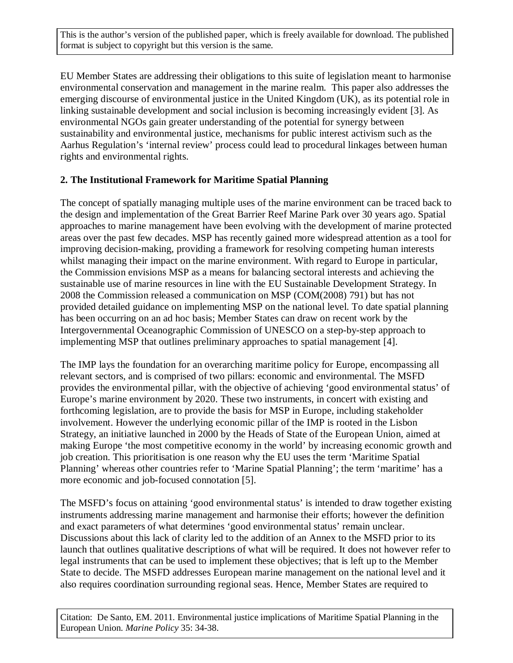EU Member States are addressing their obligations to this suite of legislation meant to harmonise environmental conservation and management in the marine realm. This paper also addresses the emerging discourse of environmental justice in the United Kingdom (UK), as its potential role in linking sustainable development and social inclusion is becoming increasingly evident [3]. As environmental NGOs gain greater understanding of the potential for synergy between sustainability and environmental justice, mechanisms for public interest activism such as the Aarhus Regulation's 'internal review' process could lead to procedural linkages between human rights and environmental rights.

# **2. The Institutional Framework for Maritime Spatial Planning**

The concept of spatially managing multiple uses of the marine environment can be traced back to the design and implementation of the Great Barrier Reef Marine Park over 30 years ago. Spatial approaches to marine management have been evolving with the development of marine protected areas over the past few decades. MSP has recently gained more widespread attention as a tool for improving decision-making, providing a framework for resolving competing human interests whilst managing their impact on the marine environment. With regard to Europe in particular, the Commission envisions MSP as a means for balancing sectoral interests and achieving the sustainable use of marine resources in line with the EU Sustainable Development Strategy. In 2008 the Commission released a communication on MSP (COM(2008) 791) but has not provided detailed guidance on implementing MSP on the national level. To date spatial planning has been occurring on an ad hoc basis; Member States can draw on recent work by the Intergovernmental Oceanographic Commission of UNESCO on a step-by-step approach to implementing MSP that outlines preliminary approaches to spatial management [4].

The IMP lays the foundation for an overarching maritime policy for Europe, encompassing all relevant sectors, and is comprised of two pillars: economic and environmental. The MSFD provides the environmental pillar, with the objective of achieving 'good environmental status' of Europe's marine environment by 2020. These two instruments, in concert with existing and forthcoming legislation, are to provide the basis for MSP in Europe, including stakeholder involvement. However the underlying economic pillar of the IMP is rooted in the Lisbon Strategy, an initiative launched in 2000 by the Heads of State of the European Union, aimed at making Europe 'the most competitive economy in the world' by increasing economic growth and job creation. This prioritisation is one reason why the EU uses the term 'Maritime Spatial Planning' whereas other countries refer to 'Marine Spatial Planning'; the term 'maritime' has a more economic and job-focused connotation [5].

The MSFD's focus on attaining 'good environmental status' is intended to draw together existing instruments addressing marine management and harmonise their efforts; however the definition and exact parameters of what determines 'good environmental status' remain unclear. Discussions about this lack of clarity led to the addition of an Annex to the MSFD prior to its launch that outlines qualitative descriptions of what will be required. It does not however refer to legal instruments that can be used to implement these objectives; that is left up to the Member State to decide. The MSFD addresses European marine management on the national level and it also requires coordination surrounding regional seas. Hence, Member States are required to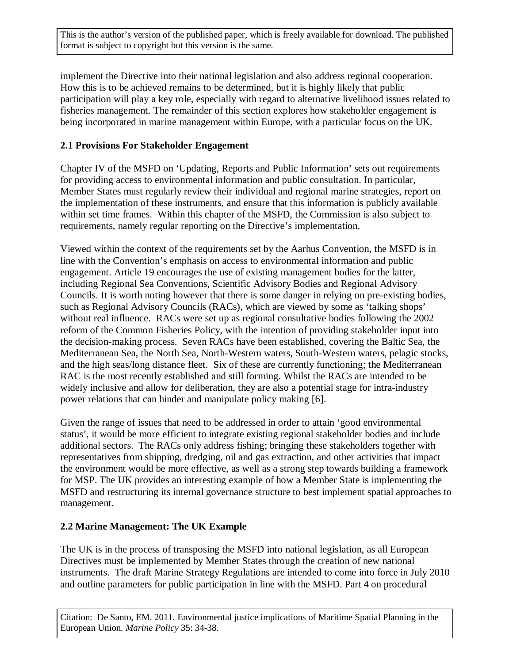implement the Directive into their national legislation and also address regional cooperation. How this is to be achieved remains to be determined, but it is highly likely that public participation will play a key role, especially with regard to alternative livelihood issues related to fisheries management. The remainder of this section explores how stakeholder engagement is being incorporated in marine management within Europe, with a particular focus on the UK.

# **2.1 Provisions For Stakeholder Engagement**

Chapter IV of the MSFD on 'Updating, Reports and Public Information' sets out requirements for providing access to environmental information and public consultation. In particular, Member States must regularly review their individual and regional marine strategies, report on the implementation of these instruments, and ensure that this information is publicly available within set time frames. Within this chapter of the MSFD, the Commission is also subject to requirements, namely regular reporting on the Directive's implementation.

Viewed within the context of the requirements set by the Aarhus Convention, the MSFD is in line with the Convention's emphasis on access to environmental information and public engagement. Article 19 encourages the use of existing management bodies for the latter, including Regional Sea Conventions, Scientific Advisory Bodies and Regional Advisory Councils. It is worth noting however that there is some danger in relying on pre-existing bodies, such as Regional Advisory Councils (RACs), which are viewed by some as 'talking shops' without real influence. RACs were set up as regional consultative bodies following the 2002 reform of the Common Fisheries Policy, with the intention of providing stakeholder input into the decision-making process. Seven RACs have been established, covering the Baltic Sea, the Mediterranean Sea, the North Sea, North-Western waters, South-Western waters, pelagic stocks, and the high seas/long distance fleet. Six of these are currently functioning; the Mediterranean RAC is the most recently established and still forming. Whilst the RACs are intended to be widely inclusive and allow for deliberation, they are also a potential stage for intra-industry power relations that can hinder and manipulate policy making [6].

Given the range of issues that need to be addressed in order to attain 'good environmental status', it would be more efficient to integrate existing regional stakeholder bodies and include additional sectors. The RACs only address fishing; bringing these stakeholders together with representatives from shipping, dredging, oil and gas extraction, and other activities that impact the environment would be more effective, as well as a strong step towards building a framework for MSP. The UK provides an interesting example of how a Member State is implementing the MSFD and restructuring its internal governance structure to best implement spatial approaches to management.

## **2.2 Marine Management: The UK Example**

The UK is in the process of transposing the MSFD into national legislation, as all European Directives must be implemented by Member States through the creation of new national instruments. The draft Marine Strategy Regulations are intended to come into force in July 2010 and outline parameters for public participation in line with the MSFD. Part 4 on procedural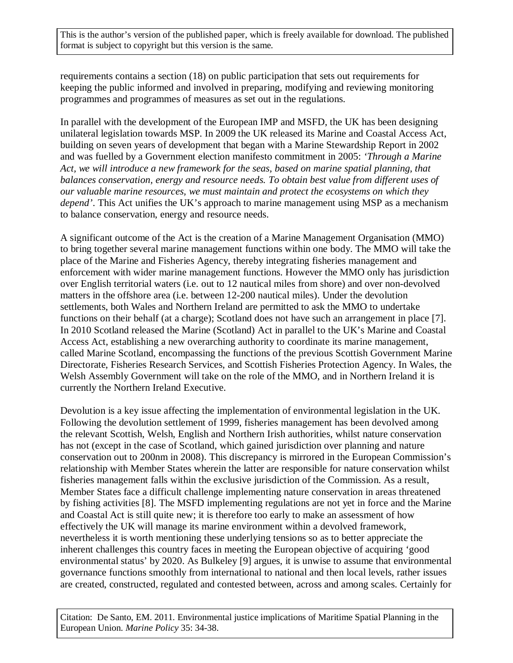requirements contains a section (18) on public participation that sets out requirements for keeping the public informed and involved in preparing, modifying and reviewing monitoring programmes and programmes of measures as set out in the regulations.

In parallel with the development of the European IMP and MSFD, the UK has been designing unilateral legislation towards MSP. In 2009 the UK released its Marine and Coastal Access Act, building on seven years of development that began with a Marine Stewardship Report in 2002 and was fuelled by a Government election manifesto commitment in 2005: *'Through a Marine Act, we will introduce a new framework for the seas, based on marine spatial planning, that balances conservation, energy and resource needs. To obtain best value from different uses of our valuable marine resources, we must maintain and protect the ecosystems on which they depend'*. This Act unifies the UK's approach to marine management using MSP as a mechanism to balance conservation, energy and resource needs.

A significant outcome of the Act is the creation of a Marine Management Organisation (MMO) to bring together several marine management functions within one body. The MMO will take the place of the Marine and Fisheries Agency, thereby integrating fisheries management and enforcement with wider marine management functions. However the MMO only has jurisdiction over English territorial waters (i.e. out to 12 nautical miles from shore) and over non-devolved matters in the offshore area (i.e. between 12-200 nautical miles). Under the devolution settlements, both Wales and Northern Ireland are permitted to ask the MMO to undertake functions on their behalf (at a charge); Scotland does not have such an arrangement in place [7]. In 2010 Scotland released the Marine (Scotland) Act in parallel to the UK's Marine and Coastal Access Act, establishing a new overarching authority to coordinate its marine management, called Marine Scotland, encompassing the functions of the previous Scottish Government Marine Directorate, Fisheries Research Services, and Scottish Fisheries Protection Agency. In Wales, the Welsh Assembly Government will take on the role of the MMO, and in Northern Ireland it is currently the Northern Ireland Executive.

Devolution is a key issue affecting the implementation of environmental legislation in the UK. Following the devolution settlement of 1999, fisheries management has been devolved among the relevant Scottish, Welsh, English and Northern Irish authorities, whilst nature conservation has not (except in the case of Scotland, which gained jurisdiction over planning and nature conservation out to 200nm in 2008). This discrepancy is mirrored in the European Commission's relationship with Member States wherein the latter are responsible for nature conservation whilst fisheries management falls within the exclusive jurisdiction of the Commission. As a result, Member States face a difficult challenge implementing nature conservation in areas threatened by fishing activities [8]. The MSFD implementing regulations are not yet in force and the Marine and Coastal Act is still quite new; it is therefore too early to make an assessment of how effectively the UK will manage its marine environment within a devolved framework, nevertheless it is worth mentioning these underlying tensions so as to better appreciate the inherent challenges this country faces in meeting the European objective of acquiring 'good environmental status' by 2020. As Bulkeley [9] argues, it is unwise to assume that environmental governance functions smoothly from international to national and then local levels, rather issues are created, constructed, regulated and contested between, across and among scales. Certainly for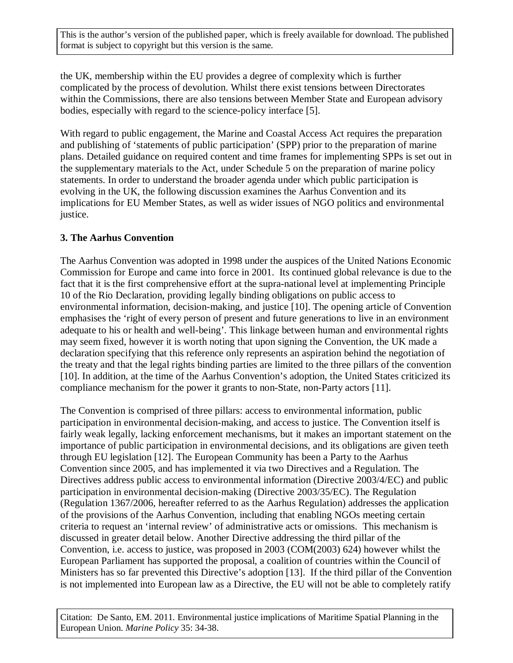the UK, membership within the EU provides a degree of complexity which is further complicated by the process of devolution. Whilst there exist tensions between Directorates within the Commissions, there are also tensions between Member State and European advisory bodies, especially with regard to the science-policy interface [5].

With regard to public engagement, the Marine and Coastal Access Act requires the preparation and publishing of 'statements of public participation' (SPP) prior to the preparation of marine plans. Detailed guidance on required content and time frames for implementing SPPs is set out in the supplementary materials to the Act, under Schedule 5 on the preparation of marine policy statements. In order to understand the broader agenda under which public participation is evolving in the UK, the following discussion examines the Aarhus Convention and its implications for EU Member States, as well as wider issues of NGO politics and environmental justice.

## **3. The Aarhus Convention**

The Aarhus Convention was adopted in 1998 under the auspices of the United Nations Economic Commission for Europe and came into force in 2001. Its continued global relevance is due to the fact that it is the first comprehensive effort at the supra-national level at implementing Principle 10 of the Rio Declaration, providing legally binding obligations on public access to environmental information, decision-making, and justice [10]. The opening article of Convention emphasises the 'right of every person of present and future generations to live in an environment adequate to his or health and well-being'. This linkage between human and environmental rights may seem fixed, however it is worth noting that upon signing the Convention, the UK made a declaration specifying that this reference only represents an aspiration behind the negotiation of the treaty and that the legal rights binding parties are limited to the three pillars of the convention [10]. In addition, at the time of the Aarhus Convention's adoption, the United States criticized its compliance mechanism for the power it grants to non-State, non-Party actors [11].

The Convention is comprised of three pillars: access to environmental information, public participation in environmental decision-making, and access to justice. The Convention itself is fairly weak legally, lacking enforcement mechanisms, but it makes an important statement on the importance of public participation in environmental decisions, and its obligations are given teeth through EU legislation [12]. The European Community has been a Party to the Aarhus Convention since 2005, and has implemented it via two Directives and a Regulation. The Directives address public access to environmental information (Directive 2003/4/EC) and public participation in environmental decision-making (Directive 2003/35/EC). The Regulation (Regulation 1367/2006, hereafter referred to as the Aarhus Regulation) addresses the application of the provisions of the Aarhus Convention, including that enabling NGOs meeting certain criteria to request an 'internal review' of administrative acts or omissions. This mechanism is discussed in greater detail below. Another Directive addressing the third pillar of the Convention, i.e. access to justice, was proposed in 2003 (COM(2003) 624) however whilst the European Parliament has supported the proposal, a coalition of countries within the Council of Ministers has so far prevented this Directive's adoption [13]. If the third pillar of the Convention is not implemented into European law as a Directive, the EU will not be able to completely ratify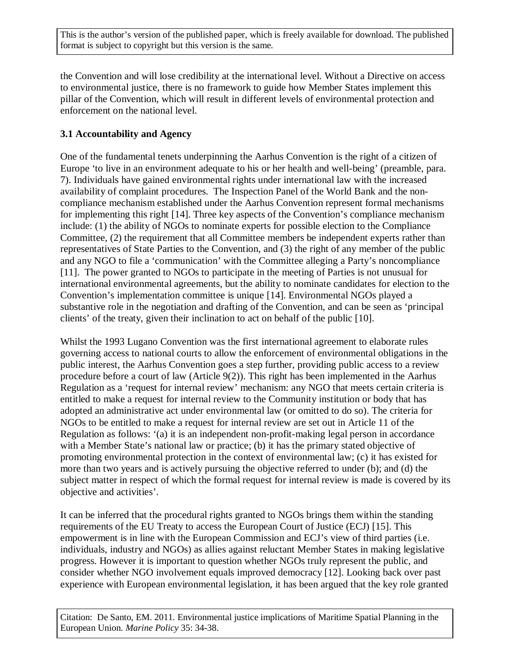the Convention and will lose credibility at the international level. Without a Directive on access to environmental justice, there is no framework to guide how Member States implement this pillar of the Convention, which will result in different levels of environmental protection and enforcement on the national level.

# **3.1 Accountability and Agency**

One of the fundamental tenets underpinning the Aarhus Convention is the right of a citizen of Europe 'to live in an environment adequate to his or her health and well-being' (preamble, para. 7). Individuals have gained environmental rights under international law with the increased availability of complaint procedures. The Inspection Panel of the World Bank and the noncompliance mechanism established under the Aarhus Convention represent formal mechanisms for implementing this right [14]. Three key aspects of the Convention's compliance mechanism include: (1) the ability of NGOs to nominate experts for possible election to the Compliance Committee, (2) the requirement that all Committee members be independent experts rather than representatives of State Parties to the Convention, and (3) the right of any member of the public and any NGO to file a 'communication' with the Committee alleging a Party's noncompliance [11]. The power granted to NGOs to participate in the meeting of Parties is not unusual for international environmental agreements, but the ability to nominate candidates for election to the Convention's implementation committee is unique [14]. Environmental NGOs played a substantive role in the negotiation and drafting of the Convention, and can be seen as 'principal clients' of the treaty, given their inclination to act on behalf of the public [10].

Whilst the 1993 Lugano Convention was the first international agreement to elaborate rules governing access to national courts to allow the enforcement of environmental obligations in the public interest, the Aarhus Convention goes a step further, providing public access to a review procedure before a court of law (Article 9(2)). This right has been implemented in the Aarhus Regulation as a 'request for internal review' mechanism: any NGO that meets certain criteria is entitled to make a request for internal review to the Community institution or body that has adopted an administrative act under environmental law (or omitted to do so). The criteria for NGOs to be entitled to make a request for internal review are set out in Article 11 of the Regulation as follows: '(a) it is an independent non-profit-making legal person in accordance with a Member State's national law or practice; (b) it has the primary stated objective of promoting environmental protection in the context of environmental law; (c) it has existed for more than two years and is actively pursuing the objective referred to under (b); and (d) the subject matter in respect of which the formal request for internal review is made is covered by its objective and activities'.

It can be inferred that the procedural rights granted to NGOs brings them within the standing requirements of the EU Treaty to access the European Court of Justice (ECJ) [15]. This empowerment is in line with the European Commission and ECJ's view of third parties (i.e. individuals, industry and NGOs) as allies against reluctant Member States in making legislative progress. However it is important to question whether NGOs truly represent the public, and consider whether NGO involvement equals improved democracy [12]. Looking back over past experience with European environmental legislation, it has been argued that the key role granted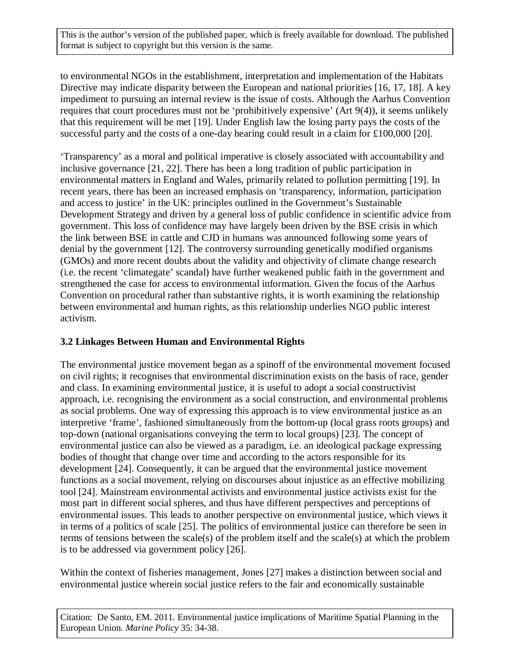to environmental NGOs in the establishment, interpretation and implementation of the Habitats Directive may indicate disparity between the European and national priorities [16, 17, 18]. A key impediment to pursuing an internal review is the issue of costs. Although the Aarhus Convention requires that court procedures must not be 'prohibitively expensive' (Art 9(4)), it seems unlikely that this requirement will be met [19]. Under English law the losing party pays the costs of the successful party and the costs of a one-day hearing could result in a claim for £100,000 [20].

'Transparency' as a moral and political imperative is closely associated with accountability and inclusive governance [21, 22]. There has been a long tradition of public participation in environmental matters in England and Wales, primarily related to pollution permitting [19]. In recent years, there has been an increased emphasis on 'transparency, information, participation and access to justice' in the UK: principles outlined in the Government's Sustainable Development Strategy and driven by a general loss of public confidence in scientific advice from government. This loss of confidence may have largely been driven by the BSE crisis in which the link between BSE in cattle and CJD in humans was announced following some years of denial by the government [12]. The controversy surrounding genetically modified organisms (GMOs) and more recent doubts about the validity and objectivity of climate change research (i.e. the recent 'climategate' scandal) have further weakened public faith in the government and strengthened the case for access to environmental information. Given the focus of the Aarhus Convention on procedural rather than substantive rights, it is worth examining the relationship between environmental and human rights, as this relationship underlies NGO public interest activism.

## **3.2 Linkages Between Human and Environmental Rights**

The environmental justice movement began as a spinoff of the environmental movement focused on civil rights; it recognises that environmental discrimination exists on the basis of race, gender and class. In examining environmental justice, it is useful to adopt a social constructivist approach, i.e. recognising the environment as a social construction, and environmental problems as social problems. One way of expressing this approach is to view environmental justice as an interpretive 'frame', fashioned simultaneously from the bottom-up (local grass roots groups) and top-down (national organisations conveying the term to local groups) [23]. The concept of environmental justice can also be viewed as a paradigm, i.e. an ideological package expressing bodies of thought that change over time and according to the actors responsible for its development [24]. Consequently, it can be argued that the environmental justice movement functions as a social movement, relying on discourses about injustice as an effective mobilizing tool [24]. Mainstream environmental activists and environmental justice activists exist for the most part in different social spheres, and thus have different perspectives and perceptions of environmental issues. This leads to another perspective on environmental justice, which views it in terms of a politics of scale [25]. The politics of environmental justice can therefore be seen in terms of tensions between the scale(s) of the problem itself and the scale(s) at which the problem is to be addressed via government policy [26].

Within the context of fisheries management, Jones [27] makes a distinction between social and environmental justice wherein social justice refers to the fair and economically sustainable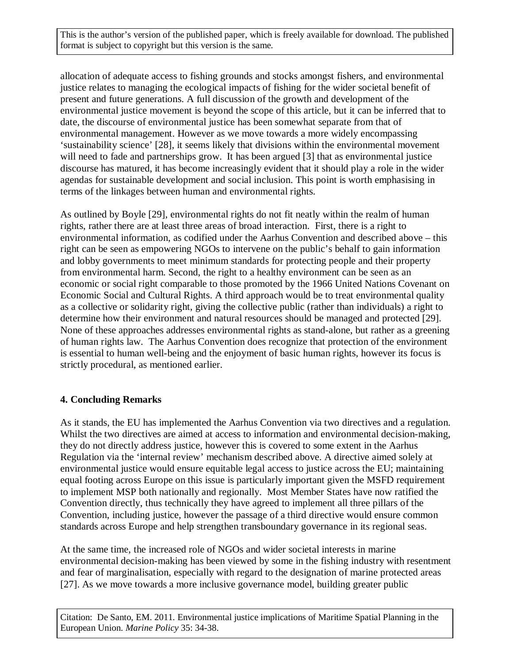allocation of adequate access to fishing grounds and stocks amongst fishers, and environmental justice relates to managing the ecological impacts of fishing for the wider societal benefit of present and future generations. A full discussion of the growth and development of the environmental justice movement is beyond the scope of this article, but it can be inferred that to date, the discourse of environmental justice has been somewhat separate from that of environmental management. However as we move towards a more widely encompassing 'sustainability science' [28], it seems likely that divisions within the environmental movement will need to fade and partnerships grow. It has been argued [3] that as environmental justice discourse has matured, it has become increasingly evident that it should play a role in the wider agendas for sustainable development and social inclusion. This point is worth emphasising in terms of the linkages between human and environmental rights.

As outlined by Boyle [29], environmental rights do not fit neatly within the realm of human rights, rather there are at least three areas of broad interaction. First, there is a right to environmental information, as codified under the Aarhus Convention and described above – this right can be seen as empowering NGOs to intervene on the public's behalf to gain information and lobby governments to meet minimum standards for protecting people and their property from environmental harm. Second, the right to a healthy environment can be seen as an economic or social right comparable to those promoted by the 1966 United Nations Covenant on Economic Social and Cultural Rights. A third approach would be to treat environmental quality as a collective or solidarity right, giving the collective public (rather than individuals) a right to determine how their environment and natural resources should be managed and protected [29]. None of these approaches addresses environmental rights as stand-alone, but rather as a greening of human rights law. The Aarhus Convention does recognize that protection of the environment is essential to human well-being and the enjoyment of basic human rights, however its focus is strictly procedural, as mentioned earlier.

## **4. Concluding Remarks**

As it stands, the EU has implemented the Aarhus Convention via two directives and a regulation. Whilst the two directives are aimed at access to information and environmental decision-making, they do not directly address justice, however this is covered to some extent in the Aarhus Regulation via the 'internal review' mechanism described above. A directive aimed solely at environmental justice would ensure equitable legal access to justice across the EU; maintaining equal footing across Europe on this issue is particularly important given the MSFD requirement to implement MSP both nationally and regionally. Most Member States have now ratified the Convention directly, thus technically they have agreed to implement all three pillars of the Convention, including justice, however the passage of a third directive would ensure common standards across Europe and help strengthen transboundary governance in its regional seas.

At the same time, the increased role of NGOs and wider societal interests in marine environmental decision-making has been viewed by some in the fishing industry with resentment and fear of marginalisation, especially with regard to the designation of marine protected areas [27]. As we move towards a more inclusive governance model, building greater public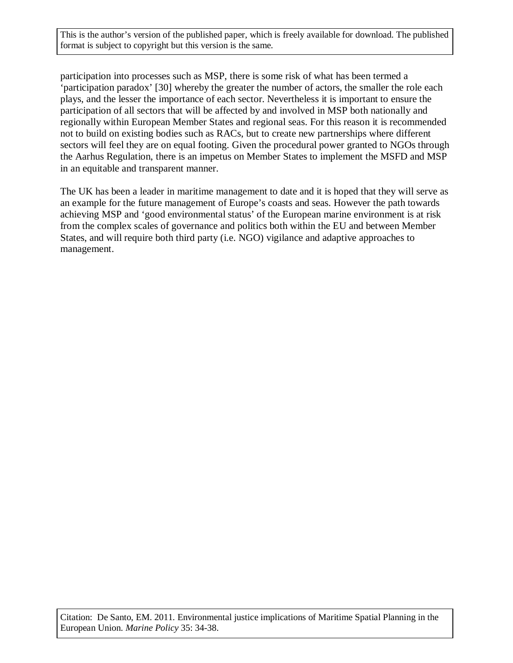participation into processes such as MSP, there is some risk of what has been termed a 'participation paradox' [30] whereby the greater the number of actors, the smaller the role each plays, and the lesser the importance of each sector. Nevertheless it is important to ensure the participation of all sectors that will be affected by and involved in MSP both nationally and regionally within European Member States and regional seas. For this reason it is recommended not to build on existing bodies such as RACs, but to create new partnerships where different sectors will feel they are on equal footing. Given the procedural power granted to NGOs through the Aarhus Regulation, there is an impetus on Member States to implement the MSFD and MSP in an equitable and transparent manner.

The UK has been a leader in maritime management to date and it is hoped that they will serve as an example for the future management of Europe's coasts and seas. However the path towards achieving MSP and 'good environmental status' of the European marine environment is at risk from the complex scales of governance and politics both within the EU and between Member States, and will require both third party (i.e. NGO) vigilance and adaptive approaches to management.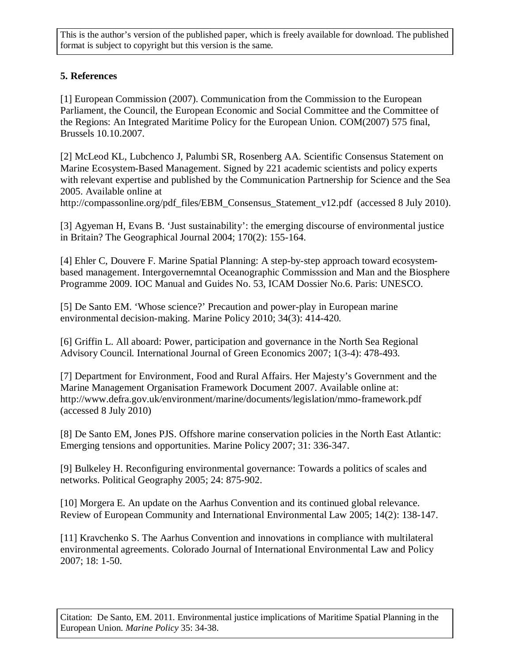# **5. References**

[1] European Commission (2007). Communication from the Commission to the European Parliament, the Council, the European Economic and Social Committee and the Committee of the Regions: An Integrated Maritime Policy for the European Union. COM(2007) 575 final, Brussels 10.10.2007.

[2] McLeod KL, Lubchenco J, Palumbi SR, Rosenberg AA. Scientific Consensus Statement on Marine Ecosystem-Based Management. Signed by 221 academic scientists and policy experts with relevant expertise and published by the Communication Partnership for Science and the Sea 2005. Available online at

http://compassonline.org/pdf\_files/EBM\_Consensus\_Statement\_v12.pdf (accessed 8 July 2010).

[3] Agyeman H, Evans B. 'Just sustainability': the emerging discourse of environmental justice in Britain? The Geographical Journal 2004; 170(2): 155-164.

[4] Ehler C, Douvere F. Marine Spatial Planning: A step-by-step approach toward ecosystembased management. Intergovernemntal Oceanographic Commisssion and Man and the Biosphere Programme 2009. IOC Manual and Guides No. 53, ICAM Dossier No.6. Paris: UNESCO.

[5] De Santo EM. 'Whose science?' Precaution and power-play in European marine environmental decision-making. Marine Policy 2010; 34(3): 414-420.

[6] Griffin L. All aboard: Power, participation and governance in the North Sea Regional Advisory Council. International Journal of Green Economics 2007; 1(3-4): 478-493.

[7] Department for Environment, Food and Rural Affairs. Her Majesty's Government and the Marine Management Organisation Framework Document 2007. Available online at: http://www.defra.gov.uk/environment/marine/documents/legislation/mmo-framework.pdf (accessed 8 July 2010)

[8] De Santo EM, Jones PJS. Offshore marine conservation policies in the North East Atlantic: Emerging tensions and opportunities. Marine Policy 2007; 31: 336-347.

[9] Bulkeley H. Reconfiguring environmental governance: Towards a politics of scales and networks. Political Geography 2005; 24: 875-902.

[10] Morgera E. An update on the Aarhus Convention and its continued global relevance. Review of European Community and International Environmental Law 2005; 14(2): 138-147.

[11] Kravchenko S. The Aarhus Convention and innovations in compliance with multilateral environmental agreements. Colorado Journal of International Environmental Law and Policy 2007; 18: 1-50.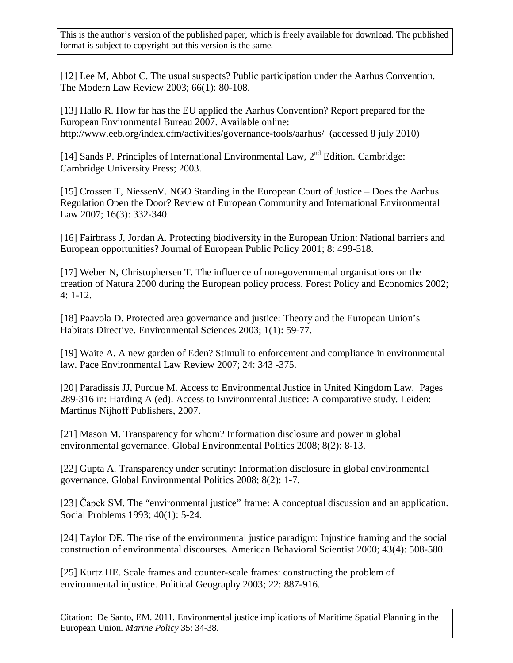[12] Lee M, Abbot C. The usual suspects? Public participation under the Aarhus Convention. The Modern Law Review 2003; 66(1): 80-108.

[13] Hallo R. How far has the EU applied the Aarhus Convention? Report prepared for the European Environmental Bureau 2007. Available online: http://www.eeb.org/index.cfm/activities/governance-tools/aarhus/ (accessed 8 july 2010)

[14] Sands P. Principles of International Environmental Law,  $2<sup>nd</sup>$  Edition. Cambridge: Cambridge University Press; 2003.

[15] Crossen T, NiessenV. NGO Standing in the European Court of Justice – Does the Aarhus Regulation Open the Door? Review of European Community and International Environmental Law 2007; 16(3): 332-340.

[16] Fairbrass J, Jordan A. Protecting biodiversity in the European Union: National barriers and European opportunities? Journal of European Public Policy 2001; 8: 499-518.

[17] Weber N, Christophersen T. The influence of non-governmental organisations on the creation of Natura 2000 during the European policy process. Forest Policy and Economics 2002; 4: 1-12.

[18] Paavola D. Protected area governance and justice: Theory and the European Union's Habitats Directive. Environmental Sciences 2003; 1(1): 59-77.

[19] Waite A. A new garden of Eden? Stimuli to enforcement and compliance in environmental law. Pace Environmental Law Review 2007; 24: 343 -375.

[20] Paradissis JJ, Purdue M. Access to Environmental Justice in United Kingdom Law. Pages 289-316 in: Harding A (ed). Access to Environmental Justice: A comparative study. Leiden: Martinus Nijhoff Publishers, 2007.

[21] Mason M. Transparency for whom? Information disclosure and power in global environmental governance. Global Environmental Politics 2008; 8(2): 8-13.

[22] Gupta A. Transparency under scrutiny: Information disclosure in global environmental governance. Global Environmental Politics 2008; 8(2): 1-7.

[23] Čapek SM. The "environmental justice" frame: A conceptual discussion and an application. Social Problems 1993; 40(1): 5-24.

[24] Taylor DE. The rise of the environmental justice paradigm: Injustice framing and the social construction of environmental discourses. American Behavioral Scientist 2000; 43(4): 508-580.

[25] Kurtz HE. Scale frames and counter-scale frames: constructing the problem of environmental injustice. Political Geography 2003; 22: 887-916.